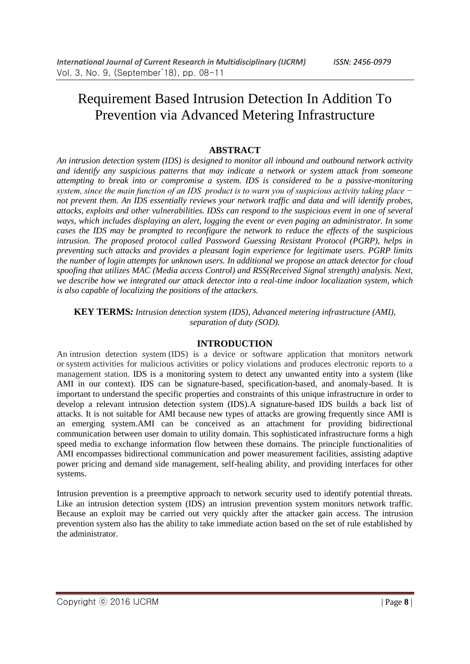# Requirement Based Intrusion Detection In Addition To Prevention via Advanced Metering Infrastructure

## **ABSTRACT**

*An intrusion detection system (IDS) is designed to monitor all inbound and outbound network activity and identify any suspicious patterns that may indicate a network or system attack from someone attempting to break into or compromise a system. IDS is considered to be a passive-monitoring system, since the main function of an IDS product is to warn you of suspicious activity taking place − not prevent them. An IDS essentially reviews your network traffic and data and will identify probes, attacks, exploits and other vulnerabilities. IDSs can respond to the suspicious event in one of several ways, which includes displaying an alert, logging the event or even paging an administrator. In some cases the IDS may be prompted to reconfigure the network to reduce the effects of the suspicious intrusion. The proposed protocol called Password Guessing Resistant Protocol (PGRP), helps in preventing such attacks and provides a pleasant login experience for legitimate users. PGRP limits the number of login attempts for unknown users. In additional we propose an attack detector for cloud spoofing that utilizes MAC (Media access Control) and RSS(Received Signal strength) analysis. Next, we describe how we integrated our attack detector into a real-time indoor localization system, which is also capable of localizing the positions of the attackers.*

**KEY TERMS***: Intrusion detection system (IDS), Advanced metering infrastructure (AMI), separation of duty (SOD).*

## **INTRODUCTION**

An intrusion detection system (IDS) is a device or software application that monitors network or system activities for malicious activities or policy violations and produces electronic reports to a management station. IDS is a monitoring system to detect any unwanted entity into a system (like AMI in our context). IDS can be signature-based, specification-based, and anomaly-based. It is important to understand the specific properties and constraints of this unique infrastructure in order to develop a relevant intrusion detection system (IDS).A signature-based IDS builds a back list of attacks. It is not suitable for AMI because new types of attacks are growing frequently since AMI is an emerging system.AMI can be conceived as an attachment for providing bidirectional communication between user domain to utility domain. This sophisticated infrastructure forms a high speed media to exchange information flow between these domains. The principle functionalities of AMI encompasses bidirectional communication and power measurement facilities, assisting adaptive power pricing and demand side management, self-healing ability, and providing interfaces for other systems.

Intrusion prevention is a preemptive approach to network security used to identify potential threats. Like an intrusion detection system (IDS) an intrusion prevention system monitors network traffic. Because an exploit may be carried out very quickly after the attacker gain access. The intrusion prevention system also has the ability to take immediate action based on the set of rule established by the administrator.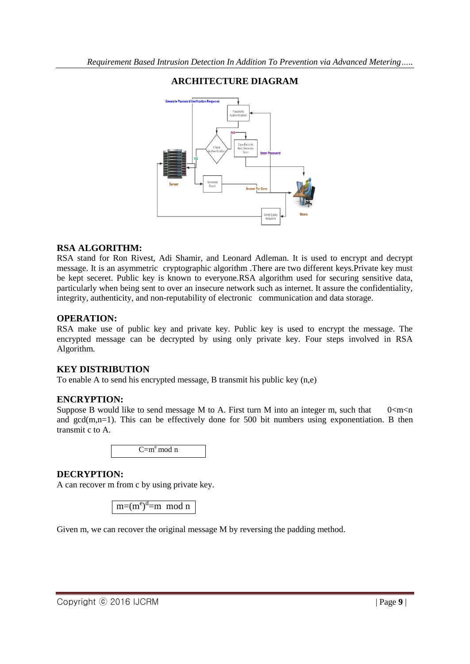

# **ARCHITECTURE DIAGRAM**

### **RSA ALGORITHM:**

RSA stand for Ron Rivest, Adi Shamir, and Leonard Adleman. It is used to encrypt and decrypt message. It is an asymmetric cryptographic algorithm .There are two different keys.Private key must be kept seceret. Public key is known to everyone.RSA algorithm used for securing sensitive data, particularly when being sent to over an insecure network such as internet. It assure the confidentiality, integrity, authenticity, and non-reputability of electronic communication and data storage.

#### **OPERATION:**

RSA make use of public key and private key. Public key is used to encrypt the message. The encrypted message can be decrypted by using only private key. Four steps involved in RSA Algorithm.

#### **KEY DISTRIBUTION**

To enable A to send his encrypted message, B transmit his public key (n,e)

#### **ENCRYPTION:**

Suppose B would like to send message M to A. First turn M into an integer m, such that  $0 < m < n$ and  $gcd(m,n=1)$ . This can be effectively done for 500 bit numbers using exponentiation. B then transmit c to A.

 $C= m<sup>e</sup>$  mod n

#### **DECRYPTION:**

A can recover m from c by using private key.

 $m=(m^e)^d$ =m mod n

Given m, we can recover the original message M by reversing the padding method.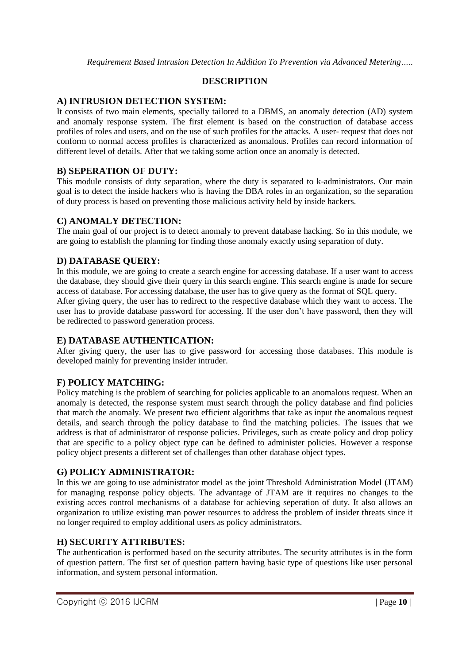## **DESCRIPTION**

## **A) INTRUSION DETECTION SYSTEM:**

It consists of two main elements, specially tailored to a DBMS, an anomaly detection (AD) system and anomaly response system. The first element is based on the construction of database access profiles of roles and users, and on the use of such profiles for the attacks. A user- request that does not conform to normal access profiles is characterized as anomalous. Profiles can record information of different level of details. After that we taking some action once an anomaly is detected.

## **B) SEPERATION OF DUTY:**

This module consists of duty separation, where the duty is separated to k-administrators. Our main goal is to detect the inside hackers who is having the DBA roles in an organization, so the separation of duty process is based on preventing those malicious activity held by inside hackers.

### **C) ANOMALY DETECTION:**

The main goal of our project is to detect anomaly to prevent database hacking. So in this module, we are going to establish the planning for finding those anomaly exactly using separation of duty.

## **D) DATABASE QUERY:**

In this module, we are going to create a search engine for accessing database. If a user want to access the database, they should give their query in this search engine. This search engine is made for secure access of database. For accessing database, the user has to give query as the format of SQL query. After giving query, the user has to redirect to the respective database which they want to access. The user has to provide database password for accessing. If the user don't have password, then they will be redirected to password generation process.

## **E) DATABASE AUTHENTICATION:**

After giving query, the user has to give password for accessing those databases. This module is developed mainly for preventing insider intruder.

## **F) POLICY MATCHING:**

Policy matching is the problem of searching for policies applicable to an anomalous request. When an anomaly is detected, the response system must search through the policy database and find policies that match the anomaly. We present two efficient algorithms that take as input the anomalous request details, and search through the policy database to find the matching policies. The issues that we address is that of administrator of response policies. Privileges, such as create policy and drop policy that are specific to a policy object type can be defined to administer policies. However a response policy object presents a different set of challenges than other database object types.

## **G) POLICY ADMINISTRATOR:**

In this we are going to use administrator model as the joint Threshold Administration Model (JTAM) for managing response policy objects. The advantage of JTAM are it requires no changes to the existing acces control mechanisms of a database for achieving seperation of duty. It also allows an organization to utilize existing man power resources to address the problem of insider threats since it no longer required to employ additional users as policy administrators.

#### **H) SECURITY ATTRIBUTES:**

The authentication is performed based on the security attributes. The security attributes is in the form of question pattern. The first set of question pattern having basic type of questions like user personal information, and system personal information.